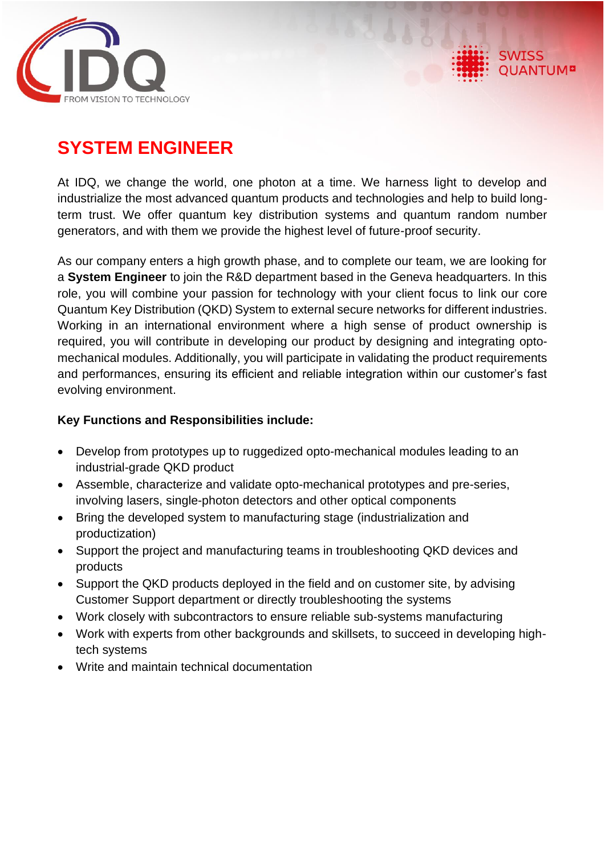

# **SYSTEM ENGINEER**

At IDQ, we change the world, one photon at a time. We harness light to develop and industrialize the most advanced quantum products and technologies and help to build longterm trust. We offer quantum key distribution systems and quantum random number generators, and with them we provide the highest level of future-proof security.

As our company enters a high growth phase, and to complete our team, we are looking for a **System Engineer** to join the R&D department based in the Geneva headquarters. In this role, you will combine your passion for technology with your client focus to link our core Quantum Key Distribution (QKD) System to external secure networks for different industries. Working in an international environment where a high sense of product ownership is required, you will contribute in developing our product by designing and integrating optomechanical modules. Additionally, you will participate in validating the product requirements and performances, ensuring its efficient and reliable integration within our customer's fast evolving environment.

### **Key Functions and Responsibilities include:**

- Develop from prototypes up to ruggedized opto-mechanical modules leading to an industrial-grade QKD product
- Assemble, characterize and validate opto-mechanical prototypes and pre-series, involving lasers, single-photon detectors and other optical components
- Bring the developed system to manufacturing stage (industrialization and productization)
- Support the project and manufacturing teams in troubleshooting QKD devices and products
- Support the QKD products deploved in the field and on customer site, by advising Customer Support department or directly troubleshooting the systems
- Work closely with subcontractors to ensure reliable sub-systems manufacturing
- Work with experts from other backgrounds and skillsets, to succeed in developing hightech systems
- Write and maintain technical documentation